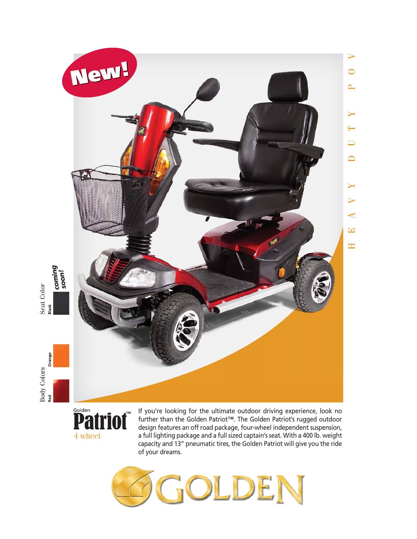

Seat Color

Body Colors Seat Color Orange **Red Orange**  $Body\,Colors$ <br>Red Orl Or

**Patriot** 4 wheel

If you're looking for the ultimate outdoor driving experience, look no further than the Golden Patriot™. The Golden Patriot's rugged outdoor design features an off road package, four-wheel independent suspension, a full lighting package and a full sized captain's seat. With a 400 lb. weight capacity and 13" pneumatic tires, the Golden Patriot will give you the ride of your dreams.